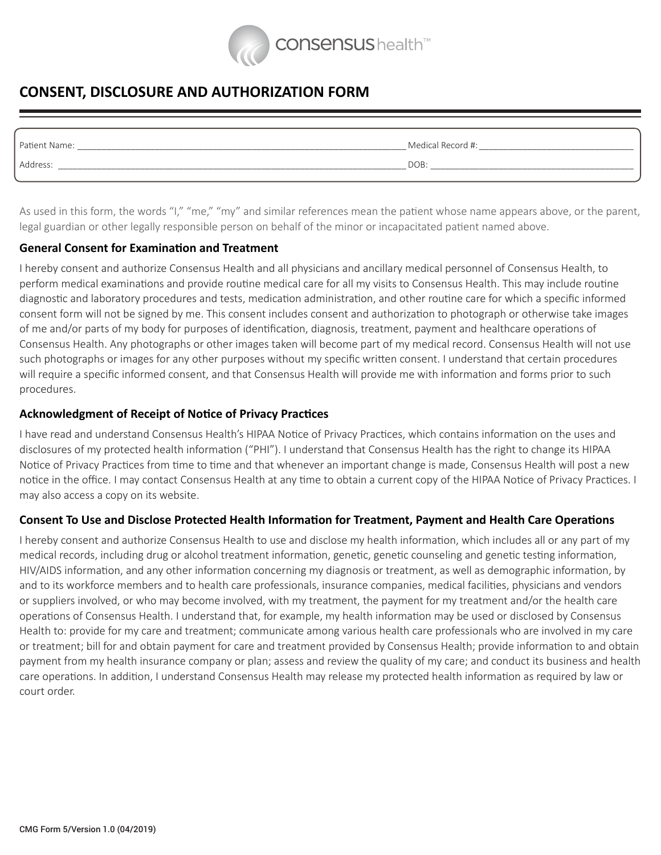

# **CONSENT, DISCLOSURE AND AUTHORIZATION FORM**

| Patient Name: | Medical Record #: |
|---------------|-------------------|
| Address:      | DOB:              |
|               |                   |

As used in this form, the words "I," "me," "my" and similar references mean the patient whose name appears above, or the parent, legal guardian or other legally responsible person on behalf of the minor or incapacitated patient named above.

### **General Consent for Examination and Treatment**

I hereby consent and authorize Consensus Health and all physicians and ancillary medical personnel of Consensus Health, to perform medical examinations and provide routine medical care for all my visits to Consensus Health. This may include routine diagnostic and laboratory procedures and tests, medication administration, and other routine care for which a specific informed consent form will not be signed by me. This consent includes consent and authorization to photograph or otherwise take images of me and/or parts of my body for purposes of identification, diagnosis, treatment, payment and healthcare operations of Consensus Health. Any photographs or other images taken will become part of my medical record. Consensus Health will not use such photographs or images for any other purposes without my specific written consent. I understand that certain procedures will require a specific informed consent, and that Consensus Health will provide me with information and forms prior to such procedures.

### **Acknowledgment of Receipt of Notice of Privacy Practices**

I have read and understand Consensus Health's HIPAA Notice of Privacy Practices, which contains information on the uses and disclosures of my protected health information ("PHI"). I understand that Consensus Health has the right to change its HIPAA Notice of Privacy Practices from time to time and that whenever an important change is made, Consensus Health will post a new notice in the office. I may contact Consensus Health at any time to obtain a current copy of the HIPAA Notice of Privacy Practices. I may also access a copy on its website.

## **Consent To Use and Disclose Protected Health Information for Treatment, Payment and Health Care Operations**

I hereby consent and authorize Consensus Health to use and disclose my health information, which includes all or any part of my medical records, including drug or alcohol treatment information, genetic, genetic counseling and genetic testing information, HIV/AIDS information, and any other information concerning my diagnosis or treatment, as well as demographic information, by and to its workforce members and to health care professionals, insurance companies, medical facilities, physicians and vendors or suppliers involved, or who may become involved, with my treatment, the payment for my treatment and/or the health care operations of Consensus Health. I understand that, for example, my health information may be used or disclosed by Consensus Health to: provide for my care and treatment; communicate among various health care professionals who are involved in my care or treatment; bill for and obtain payment for care and treatment provided by Consensus Health; provide information to and obtain payment from my health insurance company or plan; assess and review the quality of my care; and conduct its business and health care operations. In addition, I understand Consensus Health may release my protected health information as required by law or court order.